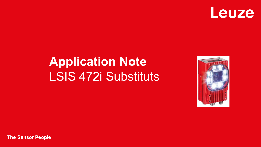

# **Application Note** LSIS 472i Substituts



**The Sensor People**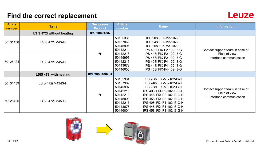# **Find the correct replacement**



| <b>Article</b><br>number | <b>Name</b>                      | <b>Successor</b><br><b>Product</b> | <b>Article</b><br>number                                             | <b>Name</b>                                                                                                                                                                      | <b>Information</b>                           |
|--------------------------|----------------------------------|------------------------------------|----------------------------------------------------------------------|----------------------------------------------------------------------------------------------------------------------------------------------------------------------------------|----------------------------------------------|
|                          | <b>LSIS 472i without heating</b> | <b>IPS 200i/400i</b>               |                                                                      |                                                                                                                                                                                  |                                              |
| 50131438                 | LSIS 472i M43-13                 |                                    | 50135331<br>50137968<br>50145996<br>50142214                         | IPS 208i FIX-M3-102-I3<br>IPS 248i FIX-M3-102-I3<br>IPS 258i FIX-M3-102-I3<br>IPS 408i FIX-F2-102-I3-G                                                                           | Contact support team in case of              |
| 50128424                 | LSIS 472i M45-13                 | $\rightarrow$                      | 50142218<br>50145998<br>50142216<br>50143672<br>50146000             | IPS 448i FIX-F2-102-I3-G<br>IPS 458i FIX-F2-102-I3-G<br>IPS 408i FIX-F4-102-I3-G<br>IPS 448i FIX-F4-102-I3-G<br>IPS 458i FIX-F4-102-I3-G                                         | - Field of view<br>- Interface communication |
|                          | LSIS 472i with heating           | <b>IPS 200i/400iH</b>              |                                                                      |                                                                                                                                                                                  |                                              |
| 50131439                 | LSIS 472i M43-13-H               |                                    | 50135334<br>50137969<br>50145997                                     | IPS 208i FIX-M3-102-I3-H<br>IPS 248i FIX-M3-102-I3-H<br>IPS 258i FIX-M3-102-I3-H                                                                                                 | Contact support team in case of              |
| 50128425                 | LSIS 472i M45-13                 | →                                  | 50142215<br>50142219<br>50145999<br>50142217<br>50143673<br>50146001 | IPS 408i FIX-F2-102-I3-G-H<br>IPS 448i FIX-F2-102-I3-G-H<br>IPS 458i FIX-F2-102-I3-G-H<br>IPS 408i FIX-F4-102-I3-G-H<br>IPS 448i FIX-F4-102-I3-G-H<br>IPS 458i FIX-F4-102-I3-G-H | - Field of view<br>- Interface communication |



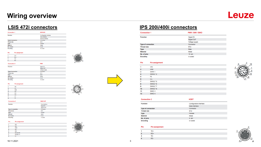## **Wiring overview**

# **Leuze**

| <b>Connection 1</b>       | <b>SERVICE</b>          |
|---------------------------|-------------------------|
| <b>Function</b>           | Configuration interface |
|                           | Data interface          |
|                           | Service interface       |
| <b>Type of connection</b> | Connector               |
| <b>Thread size</b>        | M12                     |
| <b>Type</b>               | Female                  |
| <b>Material</b>           | Metal                   |
| No. of pins               | $4 - pin$               |
| <b>Encoding</b>           | D-coded                 |
|                           |                         |

**PWR** 

**BUS OUT** 



| TD+ |  |  |
|-----|--|--|
| RD+ |  |  |
| TD- |  |  |
| RD- |  |  |



| Connection |  |  |
|------------|--|--|
|            |  |  |

| <b>Function</b>           | Signal IN         |
|---------------------------|-------------------|
|                           | <b>Signal OUT</b> |
|                           | Voltage supply    |
| <b>Type of connection</b> | Connector         |
| <b>Thread size</b>        | M <sub>12</sub>   |
| <b>Type</b>               | Male              |
| <b>Material</b>           | Metal             |
| No. of pins               | $8 - pin$         |
| _____                     |                   |



| <b>Pin assignment</b> |
|-----------------------|
| <b>VIN</b>            |

|   | IO <sub>1</sub> |
|---|-----------------|
| 3 | <b>GND</b>      |
|   | IO2             |
| 5 | IO <sub>3</sub> |



| onnectior |  |
|-----------|--|

Pin

| <b>Function</b>           | Data interface    |
|---------------------------|-------------------|
|                           | Signal IN         |
|                           | <b>Signal OUT</b> |
| <b>Type of connection</b> | Connector         |
| <b>Thread size</b>        | M <sub>12</sub>   |
| Type                      | Female            |
| <b>Material</b>           | Metal             |
| No. of pins               | $8 - pin$         |
| <b>Encoding</b>           | A-coded           |



**IO8 RS 232-RX RS 232-TX** 

FE.







### **LSIS 472i connectors IPS 200i/400i connectors**

| <b>Connection 1</b>       | PWR / SWI / SWO |
|---------------------------|-----------------|
| <b>Function</b>           | Signal IN       |
|                           | Signal OUT      |
|                           | Voltage supply  |
| <b>Type of connection</b> | Connector       |
| <b>Thread size</b>        | M12             |
| <b>Type</b>               | Male            |
| <b>Material</b>           | Metal           |
| No. of pins               | $12 - pin$      |
| <b>Encoding</b>           | A-coded         |

### Pin **Pin assignment**

| 1              | <b>VIN</b>         |  |
|----------------|--------------------|--|
| $\overline{2}$ | <b>GND</b>         |  |
| 3              | SWIN <sub>1</sub>  |  |
| 4              | SWOUT <sub>2</sub> |  |
| 5              | FE                 |  |
| 6              | n.c.               |  |
| 7              | SWOUT 5            |  |
| 8              | SWOUT 6            |  |
| 9              | SWOUT 7            |  |
| 10             | SWOUT 8            |  |
| 11             | SWIO <sub>3</sub>  |  |
| 12             | SWIO 4             |  |
|                |                    |  |

**Connection 2 HOST** Configuration interface **Function** Data interface **Type of connection** Connector **Thread size** M12 Type Female **Material** Metal No. of pins  $4 - pin$ **Encoding** D-coded

### Pin Pin assignment

| 1                | TD+   |
|------------------|-------|
| $\overline{2}$   | $RD+$ |
| 3                | TD-   |
| $\boldsymbol{4}$ | RD-   |





 $8<sub>1</sub>$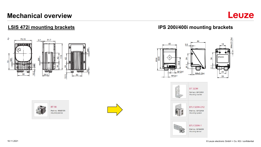## **Mechanical overview**









### **LSIS 472i mounting brackets IPS 200i/400i mounting brackets**



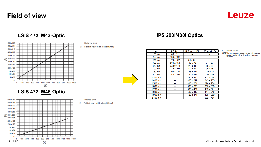### **Field of view**

**Leuze** 



### **LSIS 472i M45-Optic**



### Distance [mm]

Distance [mm]

2 Field of view: width x height [mm]



| A          | <b>IPS 2xxi</b> | IPS 4xxi F2     | IPS 4xxi F4     |
|------------|-----------------|-----------------|-----------------|
| 100 mm     | 68 x 51         |                 |                 |
| 200 mm     | 136 x 102       |                 |                 |
| 250 mm     | 170 x 127       | $81 \times 61$  |                 |
| 300 mm     | 204 x 153       | 98 x 73         | 74 x 57         |
| 350 mm     | 238 x 178       | $114 \times 86$ | 86 x 66         |
| 400 mm     | 272 x 204       | 131 x 98        | 99 x 76         |
| 450 mm     | 306 x 229       | 148 x 111       | 111 x 85        |
| 500 mm     | 340 x 255       | 164 x 123       | $123 \times 95$ |
| $1,300$ mm |                 | 430 x 322       | 321 x 246       |
| 1,400 mm   |                 | 463 x 347       | 345 x 265       |
| $1,500$ mm |                 | 496 x 371       | 370 x 284       |
| 1,600 mm   |                 | 530 x 396       | 395 x 303       |
| 1,700 mm   |                 | 563 x 421       | 419 x 321       |
| 1,800 mm   |                 | 596 x 446       | 444 x 340       |
| 1.900 mm   |                 | 629 x 471       | 469 x 359       |
| 2,400 mm   |                 |                 | 592 x 454       |

### Working distance

NOTE The working range (capture range) of the camera results from the field of view minus the marker diameter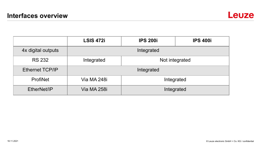

|                        | <b>LSIS 472i</b> | <b>IPS 200i</b> | <b>IPS 400i</b> |
|------------------------|------------------|-----------------|-----------------|
| 4x digital outputs     | Integrated       |                 |                 |
| <b>RS 232</b>          | Integrated       | Not integrated  |                 |
| <b>Ethernet TCP/IP</b> | Integrated       |                 |                 |
| ProfiNet               | Via MA 248i      | Integrated      |                 |
| EtherNet/IP            | Via MA 258i      | Integrated      |                 |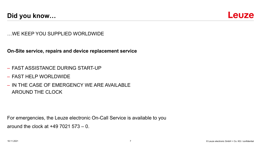

…WE KEEP YOU SUPPLIED WORLDWIDE

**On-Site service, repairs and device replacement service**

- FAST ASSISTANCE DURING START-UP
- FAST HELP WORLDWIDE
- IN THE CASE OF EMERGENCY WE ARE AVAILABLE AROUND THE CLOCK

For emergencies, the Leuze electronic On-Call Service is available to you around the clock at +49 7021 573 – 0.